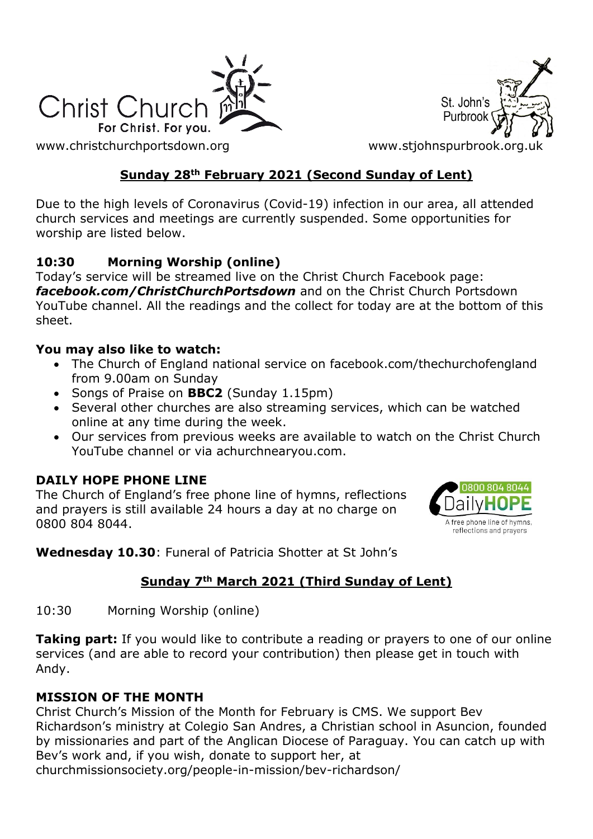

St. John's Purbrool

[www.christchurchportsdown.org](http://www.christchurchportsdown.org/) www.stjohnspurbrook.org

### **Sunday 28th February 2021 (Second Sunday of Lent)**

Due to the high levels of Coronavirus (Covid-19) infection in our area, all attended church services and meetings are currently suspended. Some opportunities for worship are listed below.

### **10:30 Morning Worship (online)**

Today's service will be streamed live on the Christ Church Facebook page: *[facebook.com/ChristChurchPortsdown](http://www.facebook.com/ChristChurchPortsdown%20at%2010.30)* and on the Christ Church Portsdown YouTube channel. All the readings and the collect for today are at the bottom of this sheet.

#### **You may also like to watch:**

- The Church of England national service on facebook.com/thechurchofengland from 9.00am on Sunday
- Songs of Praise on **BBC2** (Sunday 1.15pm)
- Several other churches are also streaming services, which can be watched online at any time during the week.
- Our services from previous weeks are available to watch on the Christ Church YouTube channel or via achurchnearyou.com.

#### **DAILY HOPE PHONE LINE**

The Church of England's free phone line of hymns, reflections and prayers is still available 24 hours a day at no charge on 0800 804 8044.



**Wednesday 10.30**: Funeral of Patricia Shotter at St John's

### **Sunday 7th March 2021 (Third Sunday of Lent)**

10:30 Morning Worship (online)

**Taking part:** If you would like to contribute a reading or prayers to one of our online services (and are able to record your contribution) then please get in touch with Andy.

#### **MISSION OF THE MONTH**

Christ Church's Mission of the Month for February is CMS. We support Bev Richardson's ministry at Colegio San Andres, a Christian school in Asuncion, founded by missionaries and part of the Anglican Diocese of Paraguay. You can catch up with Bev's work and, if you wish, donate to support her, at [churchmissionsociety.org/people-in-mission/bev-richardson/](https://churchmissionsociety.org/people-in-mission/bev-richardson/)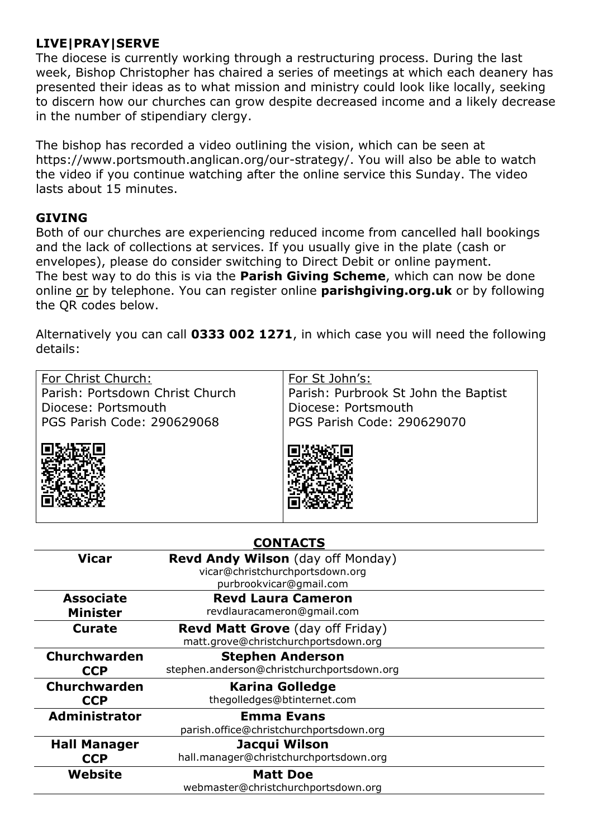### **LIVE|PRAY|SERVE**

The diocese is currently working through a restructuring process. During the last week, Bishop Christopher has chaired a series of meetings at which each deanery has presented their ideas as to what mission and ministry could look like locally, seeking to discern how our churches can grow despite decreased income and a likely decrease in the number of stipendiary clergy.

The bishop has recorded a video outlining the vision, which can be seen at [https://www.portsmouth.anglican.org/our-strategy/.](https://www.portsmouth.anglican.org/our-strategy/) You will also be able to watch the video if you continue watching after the online service this Sunday. The video lasts about 15 minutes.

#### **GIVING**

Both of our churches are experiencing reduced income from cancelled hall bookings and the lack of collections at services. If you usually give in the plate (cash or envelopes), please do consider switching to Direct Debit or online payment. The best way to do this is via the **Parish Giving Scheme**, which can now be done online or by telephone. You can register online **parishgiving.org.uk** or by following the QR codes below.

Alternatively you can call **0333 002 1271**, in which case you will need the following details:

| For Christ Church:                                                                   |                                            | For St John's:                       |
|--------------------------------------------------------------------------------------|--------------------------------------------|--------------------------------------|
| Parish: Portsdown Christ Church                                                      |                                            | Parish: Purbrook St John the Baptist |
| Diocese: Portsmouth                                                                  |                                            | Diocese: Portsmouth                  |
| PGS Parish Code: 290629068                                                           |                                            | PGS Parish Code: 290629070           |
|                                                                                      |                                            |                                      |
|                                                                                      |                                            |                                      |
|                                                                                      |                                            |                                      |
|                                                                                      |                                            |                                      |
|                                                                                      |                                            |                                      |
|                                                                                      |                                            |                                      |
|                                                                                      |                                            |                                      |
| <b>CONTACTS</b>                                                                      |                                            |                                      |
| <b>Vicar</b><br>Revd Andy Wilson (day off Monday)<br>vicar@christchurchportsdown.org |                                            |                                      |
| purbrookvicar@gmail.com                                                              |                                            |                                      |
| <b>Associate</b>                                                                     | <b>Revd Laura Cameron</b>                  |                                      |
| <b>Minister</b>                                                                      | revdlauracameron@gmail.com                 |                                      |
| <b>Curate</b>                                                                        | <b>Revd Matt Grove</b> (day off Friday)    |                                      |
|                                                                                      | matt.grove@christchurchportsdown.org       |                                      |
| Churchwarden                                                                         | <b>Stephen Anderson</b>                    |                                      |
| <b>CCP</b>                                                                           | stephen.anderson@christchurchportsdown.org |                                      |
| Churchwarden                                                                         | <b>Karina Golledge</b>                     |                                      |
| <b>CCP</b>                                                                           | thegolledges@btinternet.com                |                                      |
| <b>Administrator</b>                                                                 | <b>Emma Evans</b>                          |                                      |
|                                                                                      | parish.office@christchurchportsdown.org    |                                      |
| <b>Hall Manager</b>                                                                  | Jacqui Wilson                              |                                      |
| <b>CCP</b>                                                                           | hall.manager@christchurchportsdown.org     |                                      |
| Website                                                                              | <b>Matt Doe</b>                            |                                      |
|                                                                                      | webmaster@christchurchportsdown.org        |                                      |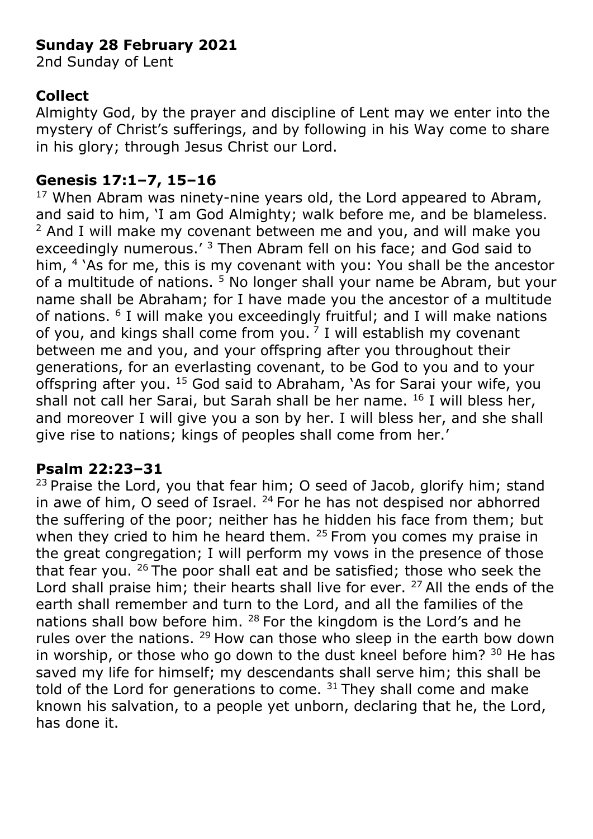# **Sunday 28 February 2021**

2nd Sunday of Lent

## **Collect**

Almighty God, by the prayer and discipline of Lent may we enter into the mystery of Christ's sufferings, and by following in his Way come to share in his glory; through Jesus Christ our Lord.

## **Genesis 17:1–7, 15–16**

 $17$  When Abram was ninety-nine years old, the Lord appeared to Abram, and said to him, 'I am God Almighty; walk before me, and be blameless.  $2$  And I will make my covenant between me and you, and will make you exceedingly numerous.<sup>' 3</sup> Then Abram fell on his face; and God said to him, <sup>4</sup> `As for me, this is my covenant with you: You shall be the ancestor of a multitude of nations. <sup>5</sup> No longer shall your name be Abram, but your name shall be Abraham; for I have made you the ancestor of a multitude of nations. <sup>6</sup> I will make you exceedingly fruitful; and I will make nations of you, and kings shall come from you.  $<sup>7</sup>$  I will establish my covenant</sup> between me and you, and your offspring after you throughout their generations, for an everlasting covenant, to be God to you and to your offspring after you. <sup>15</sup> God said to Abraham, 'As for Sarai your wife, you shall not call her Sarai, but Sarah shall be her name. <sup>16</sup> I will bless her, and moreover I will give you a son by her. I will bless her, and she shall give rise to nations; kings of peoples shall come from her.'

## **Psalm 22:23–31**

 $23$  Praise the Lord, you that fear him; O seed of Jacob, glorify him; stand in awe of him, O seed of Israel. <sup>24</sup> For he has not despised nor abhorred the suffering of the poor; neither has he hidden his face from them; but when they cried to him he heard them.  $25$  From you comes my praise in the great congregation; I will perform my vows in the presence of those that fear you. <sup>26</sup> The poor shall eat and be satisfied; those who seek the Lord shall praise him; their hearts shall live for ever. <sup>27</sup> All the ends of the earth shall remember and turn to the Lord, and all the families of the nations shall bow before him. <sup>28</sup> For the kingdom is the Lord's and he rules over the nations. <sup>29</sup> How can those who sleep in the earth bow down in worship, or those who go down to the dust kneel before him?  $30$  He has saved my life for himself; my descendants shall serve him; this shall be told of the Lord for generations to come.  $31$  They shall come and make known his salvation, to a people yet unborn, declaring that he, the Lord, has done it.